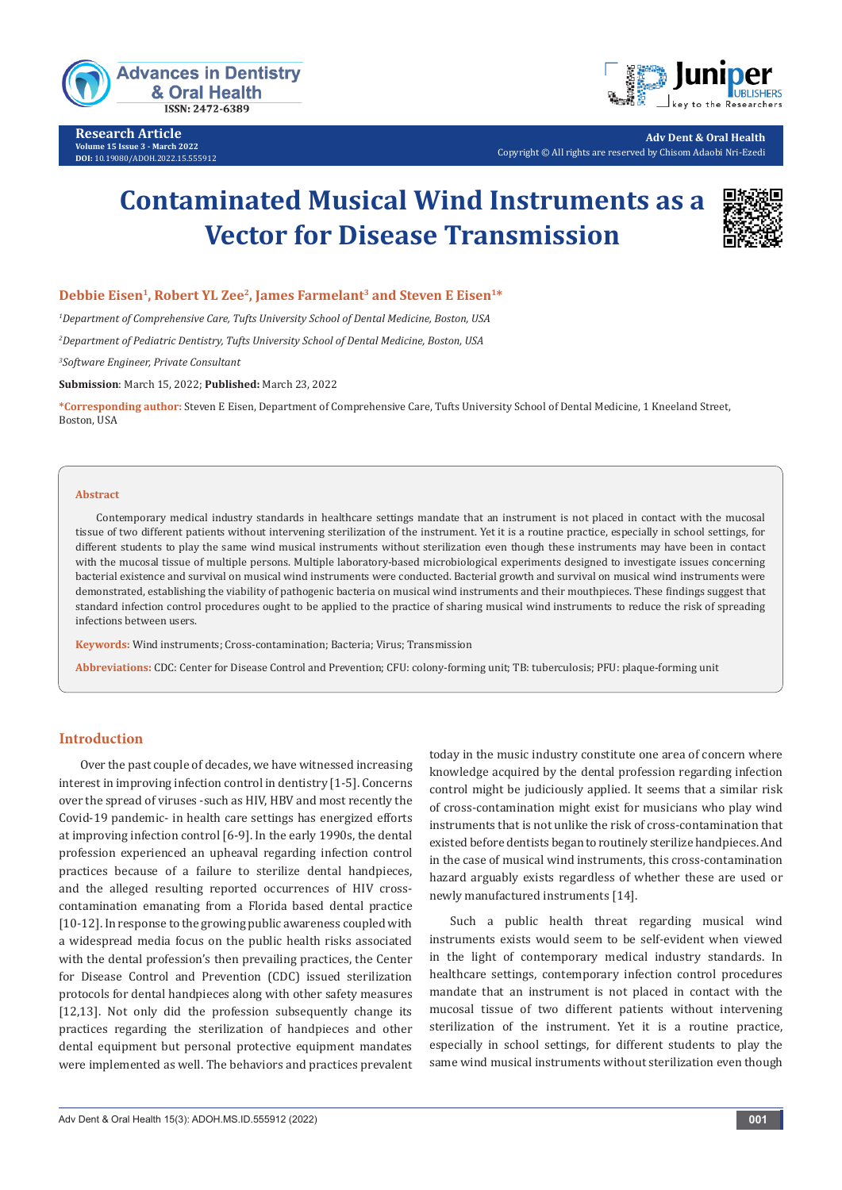

**Research Article Volume 15 Issue 3 - March 2022 DOI:** [10.19080/ADOH.2022.15.555](http://dx.doi.org/10.19080/ADOH.2022.15.555912)912



**Adv Dent & Oral Health** Copyright © All rights are reserved by Chisom Adaobi Nri-Ezedi

# **Contaminated Musical Wind Instruments as a Vector for Disease Transmission**



# Debbie Eisen<sup>1</sup>, Robert YL Zee<sup>2</sup>, James Farmelant<sup>3</sup> and Steven E Eisen<sup>1\*</sup>

*1 Department of Comprehensive Care, Tufts University School of Dental Medicine, Boston, USA*

*2 Department of Pediatric Dentistry, Tufts University School of Dental Medicine, Boston, USA*

*3 Software Engineer, Private Consultant*

**Submission**: March 15, 2022; **Published:** March 23, 2022

**\*Corresponding author:** Steven E Eisen, Department of Comprehensive Care, Tufts University School of Dental Medicine, 1 Kneeland Street, Boston, USA

#### **Abstract**

Contemporary medical industry standards in healthcare settings mandate that an instrument is not placed in contact with the mucosal tissue of two different patients without intervening sterilization of the instrument. Yet it is a routine practice, especially in school settings, for different students to play the same wind musical instruments without sterilization even though these instruments may have been in contact with the mucosal tissue of multiple persons. Multiple laboratory-based microbiological experiments designed to investigate issues concerning bacterial existence and survival on musical wind instruments were conducted. Bacterial growth and survival on musical wind instruments were demonstrated, establishing the viability of pathogenic bacteria on musical wind instruments and their mouthpieces. These findings suggest that standard infection control procedures ought to be applied to the practice of sharing musical wind instruments to reduce the risk of spreading infections between users.

**Keywords:** Wind instruments; Cross-contamination; Bacteria; Virus; Transmission

**Abbreviations:** CDC: Center for Disease Control and Prevention; CFU: colony-forming unit; TB: tuberculosis; PFU: plaque-forming unit

# **Introduction**

Over the past couple of decades, we have witnessed increasing interest in improving infection control in dentistry [1-5]. Concerns over the spread of viruses -such as HIV, HBV and most recently the Covid-19 pandemic- in health care settings has energized efforts at improving infection control [6-9]. In the early 1990s, the dental profession experienced an upheaval regarding infection control practices because of a failure to sterilize dental handpieces, and the alleged resulting reported occurrences of HIV crosscontamination emanating from a Florida based dental practice [10-12]. In response to the growing public awareness coupled with a widespread media focus on the public health risks associated with the dental profession's then prevailing practices, the Center for Disease Control and Prevention (CDC) issued sterilization protocols for dental handpieces along with other safety measures [12,13]. Not only did the profession subsequently change its practices regarding the sterilization of handpieces and other dental equipment but personal protective equipment mandates were implemented as well. The behaviors and practices prevalent today in the music industry constitute one area of concern where knowledge acquired by the dental profession regarding infection control might be judiciously applied. It seems that a similar risk of cross-contamination might exist for musicians who play wind instruments that is not unlike the risk of cross-contamination that existed before dentists began to routinely sterilize handpieces. And in the case of musical wind instruments, this cross-contamination hazard arguably exists regardless of whether these are used or newly manufactured instruments [14].

Such a public health threat regarding musical wind instruments exists would seem to be self-evident when viewed in the light of contemporary medical industry standards. In healthcare settings, contemporary infection control procedures mandate that an instrument is not placed in contact with the mucosal tissue of two different patients without intervening sterilization of the instrument. Yet it is a routine practice, especially in school settings, for different students to play the same wind musical instruments without sterilization even though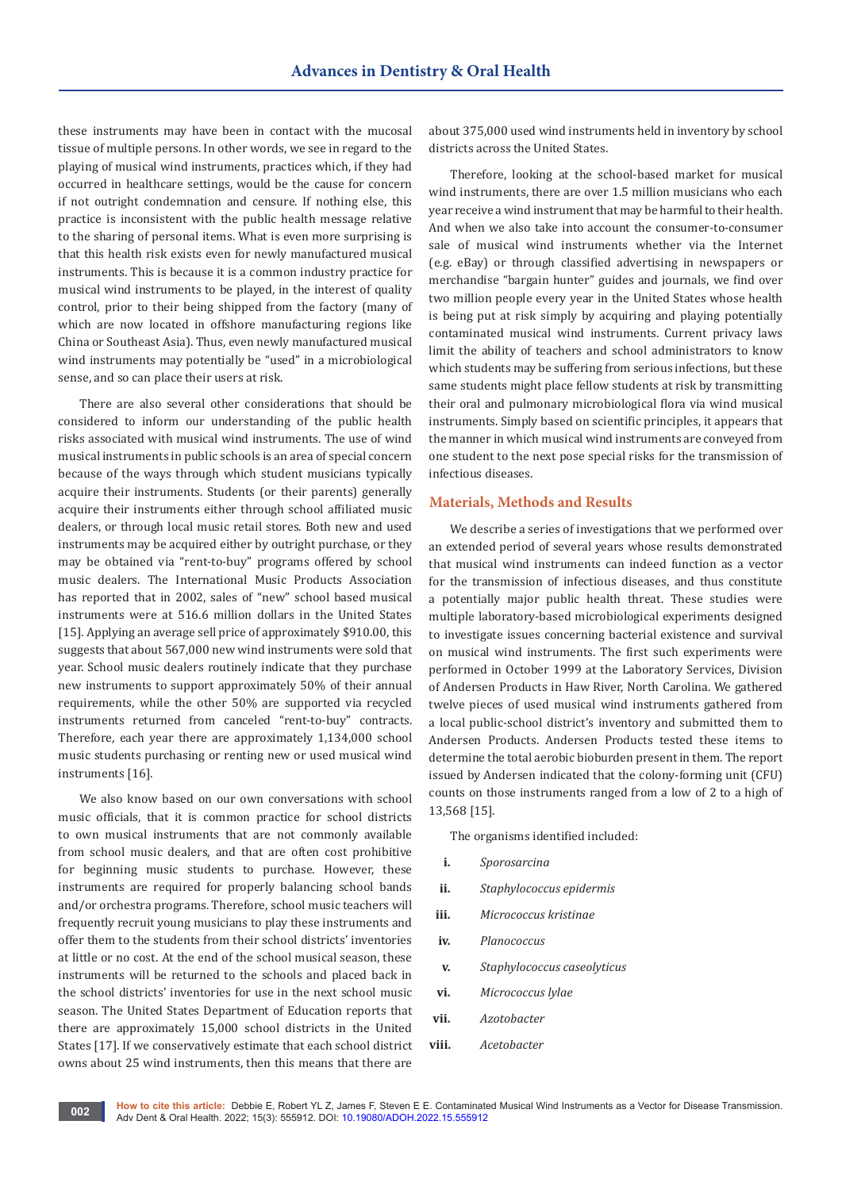these instruments may have been in contact with the mucosal tissue of multiple persons. In other words, we see in regard to the playing of musical wind instruments, practices which, if they had occurred in healthcare settings, would be the cause for concern if not outright condemnation and censure. If nothing else, this practice is inconsistent with the public health message relative to the sharing of personal items. What is even more surprising is that this health risk exists even for newly manufactured musical instruments. This is because it is a common industry practice for musical wind instruments to be played, in the interest of quality control, prior to their being shipped from the factory (many of which are now located in offshore manufacturing regions like China or Southeast Asia). Thus, even newly manufactured musical wind instruments may potentially be "used" in a microbiological sense, and so can place their users at risk.

There are also several other considerations that should be considered to inform our understanding of the public health risks associated with musical wind instruments. The use of wind musical instruments in public schools is an area of special concern because of the ways through which student musicians typically acquire their instruments. Students (or their parents) generally acquire their instruments either through school affiliated music dealers, or through local music retail stores. Both new and used instruments may be acquired either by outright purchase, or they may be obtained via "rent-to-buy" programs offered by school music dealers. The International Music Products Association has reported that in 2002, sales of "new" school based musical instruments were at 516.6 million dollars in the United States [15]. Applying an average sell price of approximately \$910.00, this suggests that about 567,000 new wind instruments were sold that year. School music dealers routinely indicate that they purchase new instruments to support approximately 50% of their annual requirements, while the other 50% are supported via recycled instruments returned from canceled "rent-to-buy" contracts. Therefore, each year there are approximately 1,134,000 school music students purchasing or renting new or used musical wind instruments [16].

We also know based on our own conversations with school music officials, that it is common practice for school districts to own musical instruments that are not commonly available from school music dealers, and that are often cost prohibitive for beginning music students to purchase. However, these instruments are required for properly balancing school bands and/or orchestra programs. Therefore, school music teachers will frequently recruit young musicians to play these instruments and offer them to the students from their school districts' inventories at little or no cost. At the end of the school musical season, these instruments will be returned to the schools and placed back in the school districts' inventories for use in the next school music season. The United States Department of Education reports that there are approximately 15,000 school districts in the United States [17]. If we conservatively estimate that each school district owns about 25 wind instruments, then this means that there are

about 375,000 used wind instruments held in inventory by school districts across the United States.

Therefore, looking at the school-based market for musical wind instruments, there are over 1.5 million musicians who each year receive a wind instrument that may be harmful to their health. And when we also take into account the consumer-to-consumer sale of musical wind instruments whether via the Internet (e.g. eBay) or through classified advertising in newspapers or merchandise "bargain hunter" guides and journals, we find over two million people every year in the United States whose health is being put at risk simply by acquiring and playing potentially contaminated musical wind instruments. Current privacy laws limit the ability of teachers and school administrators to know which students may be suffering from serious infections, but these same students might place fellow students at risk by transmitting their oral and pulmonary microbiological flora via wind musical instruments. Simply based on scientific principles, it appears that the manner in which musical wind instruments are conveyed from one student to the next pose special risks for the transmission of infectious diseases.

## **Materials, Methods and Results**

We describe a series of investigations that we performed over an extended period of several years whose results demonstrated that musical wind instruments can indeed function as a vector for the transmission of infectious diseases, and thus constitute a potentially major public health threat. These studies were multiple laboratory-based microbiological experiments designed to investigate issues concerning bacterial existence and survival on musical wind instruments. The first such experiments were performed in October 1999 at the Laboratory Services, Division of Andersen Products in Haw River, North Carolina. We gathered twelve pieces of used musical wind instruments gathered from a local public-school district's inventory and submitted them to Andersen Products. Andersen Products tested these items to determine the total aerobic bioburden present in them. The report issued by Andersen indicated that the colony-forming unit (CFU) counts on those instruments ranged from a low of 2 to a high of 13,568 [15].

The organisms identified included:

- **i.** *Sporosarcina*
- **ii.** *Staphylococcus epidermis*
- **iii.** *Micrococcus kristinae*
- **iv.** *Planococcus*
- **v.** *Staphylococcus caseolyticus*
- **vi.** *Micrococcus lylae*
- **vii.** *Azotobacter*
- **viii.** *Acetobacter*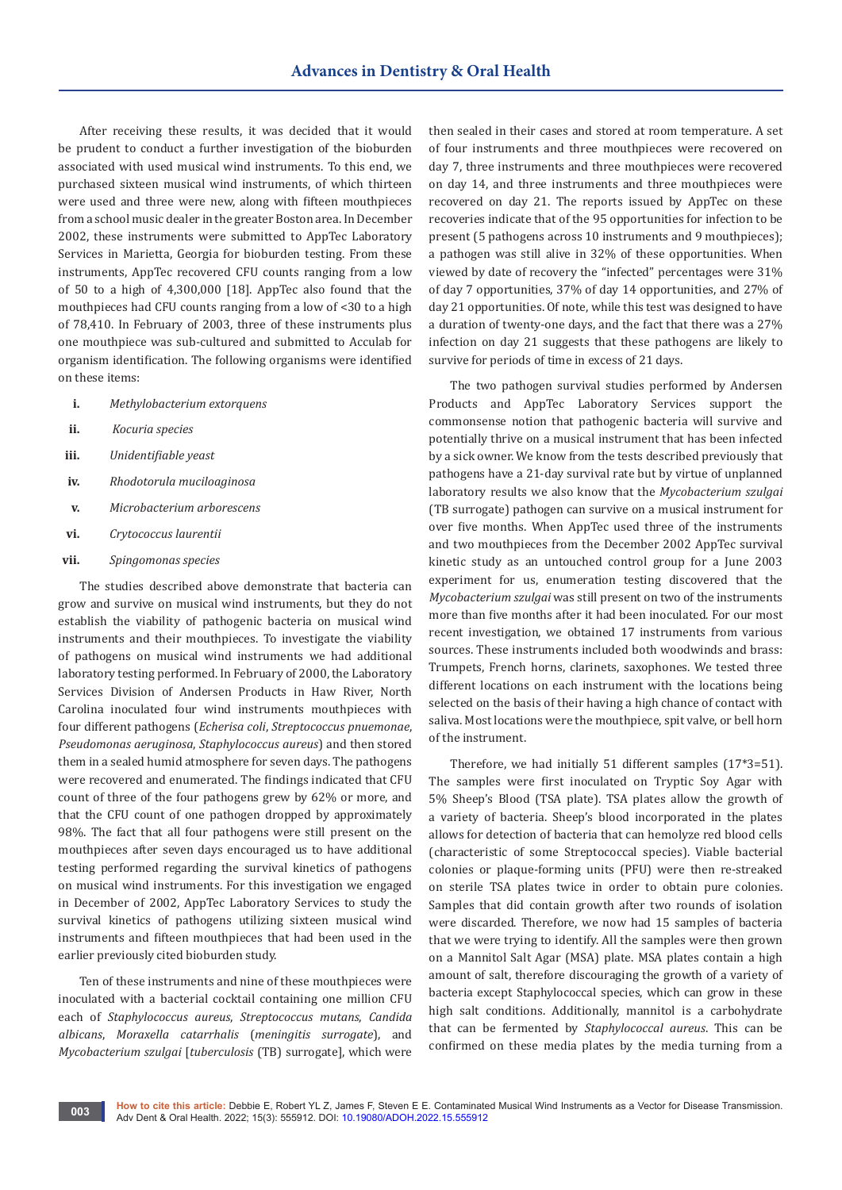After receiving these results, it was decided that it would be prudent to conduct a further investigation of the bioburden associated with used musical wind instruments. To this end, we purchased sixteen musical wind instruments, of which thirteen were used and three were new, along with fifteen mouthpieces from a school music dealer in the greater Boston area. In December 2002, these instruments were submitted to AppTec Laboratory Services in Marietta, Georgia for bioburden testing. From these instruments, AppTec recovered CFU counts ranging from a low of 50 to a high of 4,300,000 [18]. AppTec also found that the mouthpieces had CFU counts ranging from a low of <30 to a high of 78,410. In February of 2003, three of these instruments plus one mouthpiece was sub-cultured and submitted to Acculab for organism identification. The following organisms were identified on these items:

- **i.** *Methylobacterium extorquens*
- **ii.** *Kocuria species*
- **iii.** *Unidentifiable yeast*
- **iv.** *Rhodotorula muciloaginosa*
- **v.** *Microbacterium arborescens*
- **vi.** *Crytococcus laurentii*
- **vii.** *Spingomonas species*

The studies described above demonstrate that bacteria can grow and survive on musical wind instruments, but they do not establish the viability of pathogenic bacteria on musical wind instruments and their mouthpieces. To investigate the viability of pathogens on musical wind instruments we had additional laboratory testing performed. In February of 2000, the Laboratory Services Division of Andersen Products in Haw River, North Carolina inoculated four wind instruments mouthpieces with four different pathogens (*Echerisa coli*, *Streptococcus pnuemonae*, *Pseudomonas aeruginosa*, *Staphylococcus aureus*) and then stored them in a sealed humid atmosphere for seven days. The pathogens were recovered and enumerated. The findings indicated that CFU count of three of the four pathogens grew by 62% or more, and that the CFU count of one pathogen dropped by approximately 98%. The fact that all four pathogens were still present on the mouthpieces after seven days encouraged us to have additional testing performed regarding the survival kinetics of pathogens on musical wind instruments. For this investigation we engaged in December of 2002, AppTec Laboratory Services to study the survival kinetics of pathogens utilizing sixteen musical wind instruments and fifteen mouthpieces that had been used in the earlier previously cited bioburden study.

Ten of these instruments and nine of these mouthpieces were inoculated with a bacterial cocktail containing one million CFU each of *Staphylococcus aureus*, *Streptococcus mutans*, *Candida albicans*, *Moraxella catarrhalis* (*meningitis surrogate*), and *Mycobacterium szulgai* [*tuberculosis* (TB) surrogate], which were

then sealed in their cases and stored at room temperature. A set of four instruments and three mouthpieces were recovered on day 7, three instruments and three mouthpieces were recovered on day 14, and three instruments and three mouthpieces were recovered on day 21. The reports issued by AppTec on these recoveries indicate that of the 95 opportunities for infection to be present (5 pathogens across 10 instruments and 9 mouthpieces); a pathogen was still alive in 32% of these opportunities. When viewed by date of recovery the "infected" percentages were 31% of day 7 opportunities, 37% of day 14 opportunities, and 27% of day 21 opportunities. Of note, while this test was designed to have a duration of twenty-one days, and the fact that there was a 27% infection on day 21 suggests that these pathogens are likely to survive for periods of time in excess of 21 days.

The two pathogen survival studies performed by Andersen Products and AppTec Laboratory Services support the commonsense notion that pathogenic bacteria will survive and potentially thrive on a musical instrument that has been infected by a sick owner. We know from the tests described previously that pathogens have a 21-day survival rate but by virtue of unplanned laboratory results we also know that the *Mycobacterium szulgai*  (TB surrogate) pathogen can survive on a musical instrument for over five months. When AppTec used three of the instruments and two mouthpieces from the December 2002 AppTec survival kinetic study as an untouched control group for a June 2003 experiment for us, enumeration testing discovered that the *Mycobacterium szulgai* was still present on two of the instruments more than five months after it had been inoculated. For our most recent investigation, we obtained 17 instruments from various sources. These instruments included both woodwinds and brass: Trumpets, French horns, clarinets, saxophones. We tested three different locations on each instrument with the locations being selected on the basis of their having a high chance of contact with saliva. Most locations were the mouthpiece, spit valve, or bell horn of the instrument.

Therefore, we had initially 51 different samples (17\*3=51). The samples were first inoculated on Tryptic Soy Agar with 5% Sheep's Blood (TSA plate). TSA plates allow the growth of a variety of bacteria. Sheep's blood incorporated in the plates allows for detection of bacteria that can hemolyze red blood cells (characteristic of some Streptococcal species). Viable bacterial colonies or plaque-forming units (PFU) were then re-streaked on sterile TSA plates twice in order to obtain pure colonies. Samples that did contain growth after two rounds of isolation were discarded. Therefore, we now had 15 samples of bacteria that we were trying to identify. All the samples were then grown on a Mannitol Salt Agar (MSA) plate. MSA plates contain a high amount of salt, therefore discouraging the growth of a variety of bacteria except Staphylococcal species, which can grow in these high salt conditions. Additionally, mannitol is a carbohydrate that can be fermented by *Staphylococcal aureus*. This can be confirmed on these media plates by the media turning from a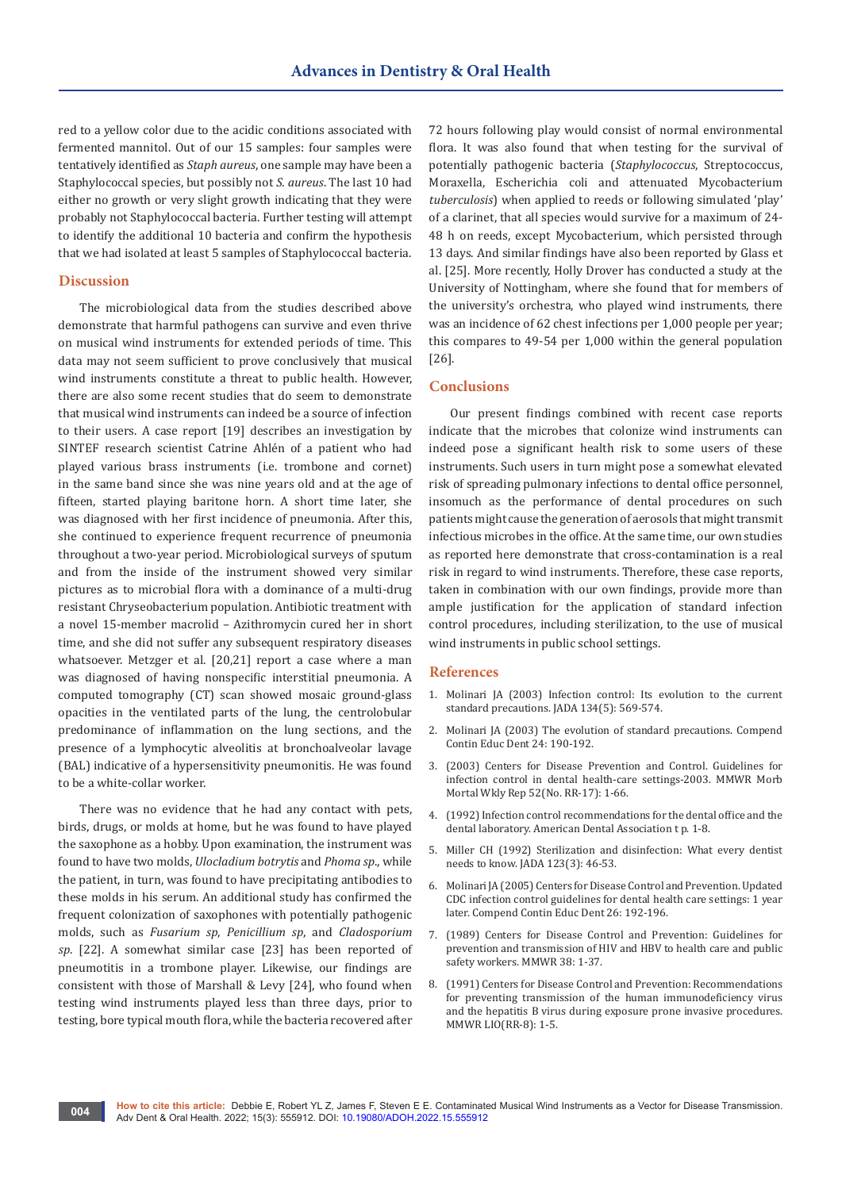red to a yellow color due to the acidic conditions associated with fermented mannitol. Out of our 15 samples: four samples were tentatively identified as *Staph aureus*, one sample may have been a Staphylococcal species, but possibly not *S. aureus*. The last 10 had either no growth or very slight growth indicating that they were probably not Staphylococcal bacteria. Further testing will attempt to identify the additional 10 bacteria and confirm the hypothesis that we had isolated at least 5 samples of Staphylococcal bacteria.

# **Discussion**

The microbiological data from the studies described above demonstrate that harmful pathogens can survive and even thrive on musical wind instruments for extended periods of time. This data may not seem sufficient to prove conclusively that musical wind instruments constitute a threat to public health. However, there are also some recent studies that do seem to demonstrate that musical wind instruments can indeed be a source of infection to their users. A case report [19] describes an investigation by SINTEF research scientist Catrine Ahlén of a patient who had played various brass instruments (i.e. trombone and cornet) in the same band since she was nine years old and at the age of fifteen, started playing baritone horn. A short time later, she was diagnosed with her first incidence of pneumonia. After this, she continued to experience frequent recurrence of pneumonia throughout a two-year period. Microbiological surveys of sputum and from the inside of the instrument showed very similar pictures as to microbial flora with a dominance of a multi-drug resistant Chryseobacterium population. Antibiotic treatment with a novel 15-member macrolid – Azithromycin cured her in short time, and she did not suffer any subsequent respiratory diseases whatsoever. Metzger et al. [20,21] report a case where a man was diagnosed of having nonspecific interstitial pneumonia. A computed tomography (CT) scan showed mosaic ground-glass opacities in the ventilated parts of the lung, the centrolobular predominance of inflammation on the lung sections, and the presence of a lymphocytic alveolitis at bronchoalveolar lavage (BAL) indicative of a hypersensitivity pneumonitis. He was found to be a white-collar worker.

There was no evidence that he had any contact with pets, birds, drugs, or molds at home, but he was found to have played the saxophone as a hobby. Upon examination, the instrument was found to have two molds, *Ulocladium botrytis* and *Phoma sp*., while the patient, in turn, was found to have precipitating antibodies to these molds in his serum. An additional study has confirmed the frequent colonization of saxophones with potentially pathogenic molds, such as *Fusarium sp*, *Penicillium sp*, and *Cladosporium sp*. [22]. A somewhat similar case [23] has been reported of pneumotitis in a trombone player. Likewise, our findings are consistent with those of Marshall & Levy [24], who found when testing wind instruments played less than three days, prior to testing, bore typical mouth flora, while the bacteria recovered after 72 hours following play would consist of normal environmental flora. It was also found that when testing for the survival of potentially pathogenic bacteria (*Staphylococcus*, Streptococcus, Moraxella, Escherichia coli and attenuated Mycobacterium *tuberculosis*) when applied to reeds or following simulated 'play' of a clarinet, that all species would survive for a maximum of 24- 48 h on reeds, except Mycobacterium, which persisted through 13 days. And similar findings have also been reported by Glass et al. [25]. More recently, Holly Drover has conducted a study at the University of Nottingham, where she found that for members of the university's orchestra, who played wind instruments, there was an incidence of 62 chest infections per 1,000 people per year; this compares to 49-54 per 1,000 within the general population [26].

### **Conclusions**

Our present findings combined with recent case reports indicate that the microbes that colonize wind instruments can indeed pose a significant health risk to some users of these instruments. Such users in turn might pose a somewhat elevated risk of spreading pulmonary infections to dental office personnel, insomuch as the performance of dental procedures on such patients might cause the generation of aerosols that might transmit infectious microbes in the office. At the same time, our own studies as reported here demonstrate that cross-contamination is a real risk in regard to wind instruments. Therefore, these case reports, taken in combination with our own findings, provide more than ample justification for the application of standard infection control procedures, including sterilization, to the use of musical wind instruments in public school settings.

#### **References**

- 1. [Molinari JA \(2003\) Infection control: Its evolution to the current](https://pubmed.ncbi.nlm.nih.gov/12785491/)  [standard precautions. JADA 134\(5\): 569-574.](https://pubmed.ncbi.nlm.nih.gov/12785491/)
- 2. Molinari JA (2003) The evolution of standard precautions. Compend Contin Educ Dent 24: 190-192.
- 3. (2003) Centers for Disease Prevention and Control. Guidelines for infection control in dental health-care settings-2003. MMWR Morb Mortal Wkly Rep 52(No. RR-17): 1-66.
- 4. (1992) Infection control recommendations for the dental office and the dental laboratory. American Dental Association t p. 1-8.
- 5. [Miller CH \(1992\) Sterilization and disinfection: What every dentist](https://pubmed.ncbi.nlm.nih.gov/1545058/)  [needs to know. JADA 123\(3\): 46-53.](https://pubmed.ncbi.nlm.nih.gov/1545058/)
- 6. Molinari JA (2005) Centers for Disease Control and Prevention. Updated CDC infection control guidelines for dental health care settings: 1 year later. Compend Contin Educ Dent 26: 192-196.
- 7. (1989) Centers for Disease Control and Prevention: Guidelines for prevention and transmission of HIV and HBV to health care and public safety workers. MMWR 38: 1-37.
- 8. (1991) Centers for Disease Control and Prevention: Recommendations for preventing transmission of the human immunodeficiency virus and the hepatitis B virus during exposure prone invasive procedures. MMWR LIO(RR-8): 1-5.